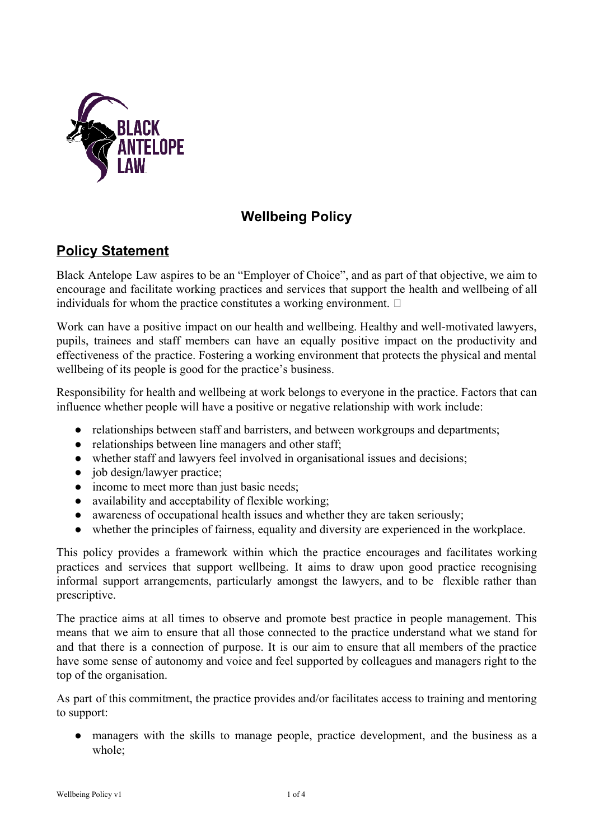

# **Wellbeing Policy**

## **Policy Statement**

Black Antelope Law aspires to be an "Employer of Choice", and as part of that objective, we aim to encourage and facilitate working practices and services that support the health and wellbeing of all individuals for whom the practice constitutes a working environment.  $\Box$ 

Work can have a positive impact on our health and wellbeing. Healthy and well-motivated lawyers, pupils, trainees and staff members can have an equally positive impact on the productivity and effectiveness of the practice. Fostering a working environment that protects the physical and mental wellbeing of its people is good for the practice's business.

Responsibility for health and wellbeing at work belongs to everyone in the practice. Factors that can influence whether people will have a positive or negative relationship with work include:

- relationships between staff and barristers, and between workgroups and departments;
- relationships between line managers and other staff;
- whether staff and lawyers feel involved in organisational issues and decisions;
- job design/lawyer practice;
- income to meet more than just basic needs;
- availability and acceptability of flexible working;
- awareness of occupational health issues and whether they are taken seriously;
- whether the principles of fairness, equality and diversity are experienced in the workplace.

This policy provides a framework within which the practice encourages and facilitates working practices and services that support wellbeing. It aims to draw upon good practice recognising informal support arrangements, particularly amongst the lawyers, and to be flexible rather than prescriptive.

The practice aims at all times to observe and promote best practice in people management. This means that we aim to ensure that all those connected to the practice understand what we stand for and that there is a connection of purpose. It is our aim to ensure that all members of the practice have some sense of autonomy and voice and feel supported by colleagues and managers right to the top of the organisation.

As part of this commitment, the practice provides and/or facilitates access to training and mentoring to support:

● managers with the skills to manage people, practice development, and the business as a whole;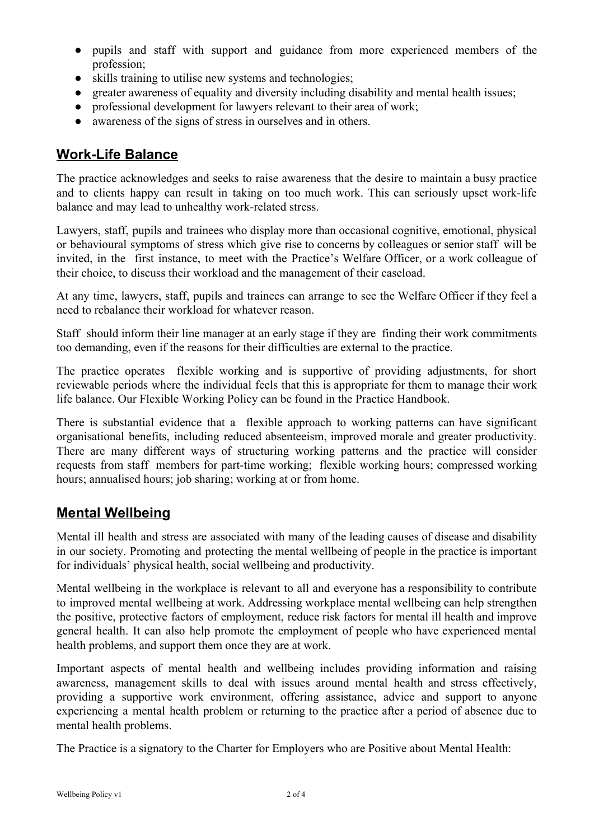- pupils and staff with support and guidance from more experienced members of the profession;
- skills training to utilise new systems and technologies;
- greater awareness of equality and diversity including disability and mental health issues;
- professional development for lawyers relevant to their area of work;
- awareness of the signs of stress in ourselves and in others.

### **Work-Life Balance**

The practice acknowledges and seeks to raise awareness that the desire to maintain a busy practice and to clients happy can result in taking on too much work. This can seriously upset work-life balance and may lead to unhealthy work-related stress.

Lawyers, staff, pupils and trainees who display more than occasional cognitive, emotional, physical or behavioural symptoms of stress which give rise to concerns by colleagues or senior staff will be invited, in the first instance, to meet with the Practice's Welfare Officer, or a work colleague of their choice, to discuss their workload and the management of their caseload.

At any time, lawyers, staff, pupils and trainees can arrange to see the Welfare Officer if they feel a need to rebalance their workload for whatever reason.

Staff should inform their line manager at an early stage if they are finding their work commitments too demanding, even if the reasons for their difficulties are external to the practice.

The practice operates flexible working and is supportive of providing adjustments, for short reviewable periods where the individual feels that this is appropriate for them to manage their work life balance. Our Flexible Working Policy can be found in the Practice Handbook.

There is substantial evidence that a flexible approach to working patterns can have significant organisational benefits, including reduced absenteeism, improved morale and greater productivity. There are many different ways of structuring working patterns and the practice will consider requests from staff members for part-time working; flexible working hours; compressed working hours; annualised hours; job sharing; working at or from home.

### **Mental Wellbeing**

Mental ill health and stress are associated with many of the leading causes of disease and disability in our society. Promoting and protecting the mental wellbeing of people in the practice is important for individuals' physical health, social wellbeing and productivity.

Mental wellbeing in the workplace is relevant to all and everyone has a responsibility to contribute to improved mental wellbeing at work. Addressing workplace mental wellbeing can help strengthen the positive, protective factors of employment, reduce risk factors for mental ill health and improve general health. It can also help promote the employment of people who have experienced mental health problems, and support them once they are at work.

Important aspects of mental health and wellbeing includes providing information and raising awareness, management skills to deal with issues around mental health and stress effectively, providing a supportive work environment, offering assistance, advice and support to anyone experiencing a mental health problem or returning to the practice after a period of absence due to mental health problems.

The Practice is a signatory to the Charter for Employers who are Positive about Mental Health: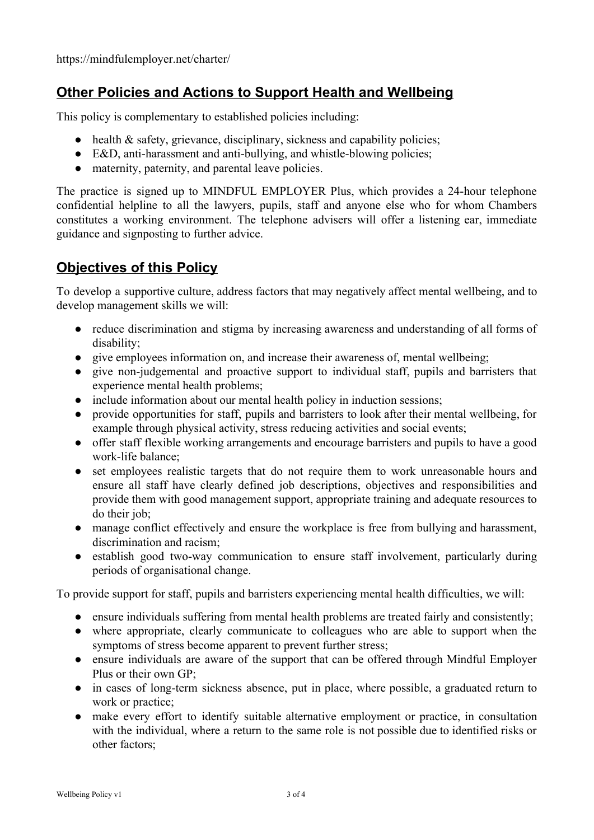## **Other Policies and Actions to Support Health and Wellbeing**

This policy is complementary to established policies including:

- health & safety, grievance, disciplinary, sickness and capability policies;
- E&D, anti-harassment and anti-bullying, and whistle-blowing policies;
- maternity, paternity, and parental leave policies.

The practice is signed up to MINDFUL EMPLOYER Plus, which provides a 24-hour telephone confidential helpline to all the lawyers, pupils, staff and anyone else who for whom Chambers constitutes a working environment. The telephone advisers will offer a listening ear, immediate guidance and signposting to further advice.

### **Objectives of this Policy**

To develop a supportive culture, address factors that may negatively affect mental wellbeing, and to develop management skills we will:

- reduce discrimination and stigma by increasing awareness and understanding of all forms of disability;
- give employees information on, and increase their awareness of, mental wellbeing;
- give non-judgemental and proactive support to individual staff, pupils and barristers that experience mental health problems;
- include information about our mental health policy in induction sessions;
- provide opportunities for staff, pupils and barristers to look after their mental wellbeing, for example through physical activity, stress reducing activities and social events;
- offer staff flexible working arrangements and encourage barristers and pupils to have a good work-life balance;
- set employees realistic targets that do not require them to work unreasonable hours and ensure all staff have clearly defined job descriptions, objectives and responsibilities and provide them with good management support, appropriate training and adequate resources to do their job;
- manage conflict effectively and ensure the workplace is free from bullying and harassment, discrimination and racism;
- establish good two-way communication to ensure staff involvement, particularly during periods of organisational change.

To provide support for staff, pupils and barristers experiencing mental health difficulties, we will:

- ensure individuals suffering from mental health problems are treated fairly and consistently;
- where appropriate, clearly communicate to colleagues who are able to support when the symptoms of stress become apparent to prevent further stress;
- ensure individuals are aware of the support that can be offered through Mindful Employer Plus or their own GP;
- in cases of long-term sickness absence, put in place, where possible, a graduated return to work or practice;
- make every effort to identify suitable alternative employment or practice, in consultation with the individual, where a return to the same role is not possible due to identified risks or other factors;